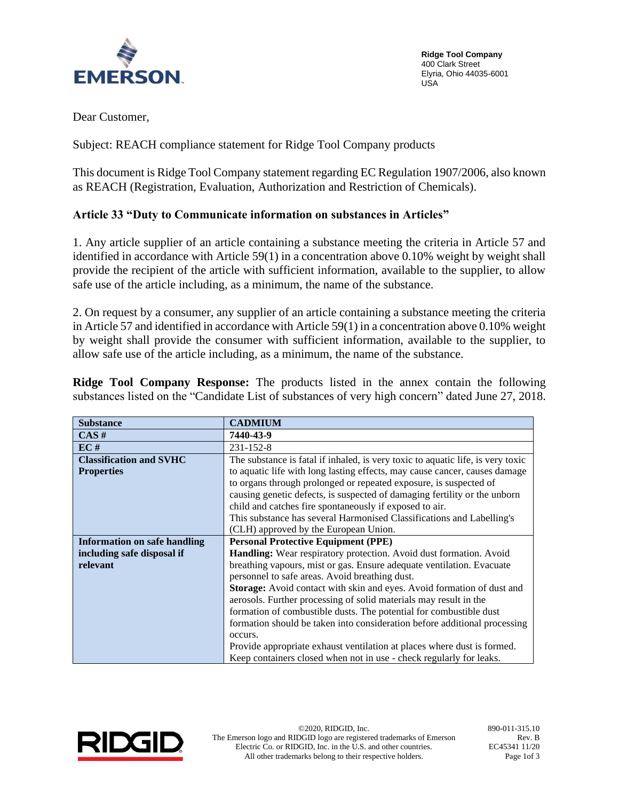

**Ridge Tool Company** 400 Clark Street Elyria, Ohio 44035-6001 USA

Dear Customer,

Subject: REACH compliance statement for Ridge Tool Company products

This document is Ridge Tool Company statement regarding EC Regulation 1907/2006, also known as REACH (Registration, Evaluation, Authorization and Restriction of Chemicals).

## **Article 33 "Duty to Communicate information on substances in Articles"**

1. Any article supplier of an article containing a substance meeting the criteria in Article 57 and identified in accordance with Article 59(1) in a concentration above 0.10% weight by weight shall provide the recipient of the article with sufficient information, available to the supplier, to allow safe use of the article including, as a minimum, the name of the substance.

2. On request by a consumer, any supplier of an article containing a substance meeting the criteria in Article 57 and identified in accordance with Article 59(1) in a concentration above 0.10% weight by weight shall provide the consumer with sufficient information, available to the supplier, to allow safe use of the article including, as a minimum, the name of the substance.

**Ridge Tool Company Response:** The products listed in the annex contain the following substances listed on the "Candidate List of substances of very high concern" dated June 27, 2018.

| <b>Substance</b>               | <b>CADMIUM</b>                                                                  |  |  |  |  |
|--------------------------------|---------------------------------------------------------------------------------|--|--|--|--|
| CAS#                           | 7440-43-9                                                                       |  |  |  |  |
| EC#                            | 231-152-8                                                                       |  |  |  |  |
| <b>Classification and SVHC</b> | The substance is fatal if inhaled, is very toxic to aquatic life, is very toxic |  |  |  |  |
| <b>Properties</b>              | to aquatic life with long lasting effects, may cause cancer, causes damage      |  |  |  |  |
|                                | to organs through prolonged or repeated exposure, is suspected of               |  |  |  |  |
|                                | causing genetic defects, is suspected of damaging fertility or the unborn       |  |  |  |  |
|                                | child and catches fire spontaneously if exposed to air.                         |  |  |  |  |
|                                | This substance has several Harmonised Classifications and Labelling's           |  |  |  |  |
|                                | (CLH) approved by the European Union.                                           |  |  |  |  |
| Information on safe handling   | <b>Personal Protective Equipment (PPE)</b>                                      |  |  |  |  |
| including safe disposal if     | <b>Handling:</b> Wear respiratory protection. Avoid dust formation. Avoid       |  |  |  |  |
| relevant                       | breathing vapours, mist or gas. Ensure adequate ventilation. Evacuate           |  |  |  |  |
|                                | personnel to safe areas. Avoid breathing dust.                                  |  |  |  |  |
|                                | Storage: Avoid contact with skin and eyes. Avoid formation of dust and          |  |  |  |  |
|                                | aerosols. Further processing of solid materials may result in the               |  |  |  |  |
|                                | formation of combustible dusts. The potential for combustible dust              |  |  |  |  |
|                                | formation should be taken into consideration before additional processing       |  |  |  |  |
|                                | occurs.                                                                         |  |  |  |  |
|                                | Provide appropriate exhaust ventilation at places where dust is formed.         |  |  |  |  |
|                                | Keep containers closed when not in use - check regularly for leaks.             |  |  |  |  |

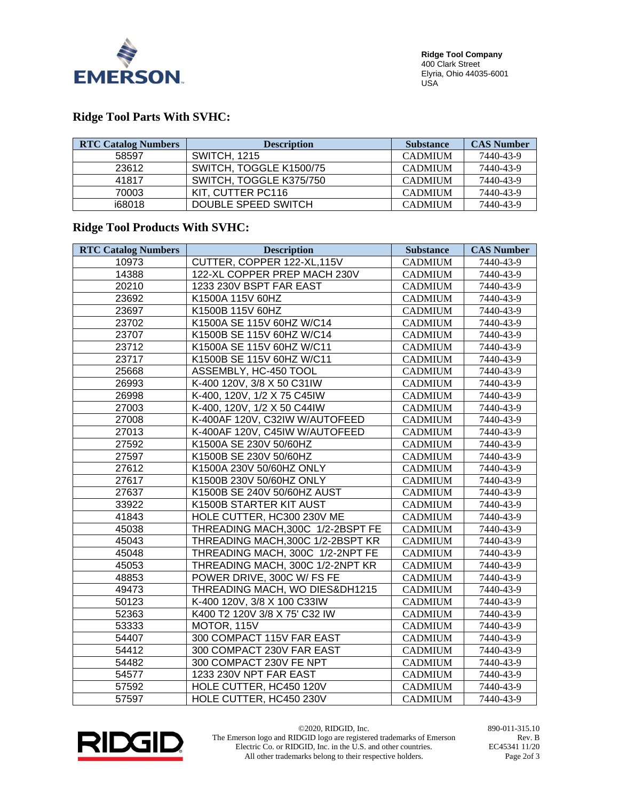

## **Ridge Tool Parts With SVHC:**

| <b>RTC Catalog Numbers</b> | <b>Description</b>      | <b>Substance</b> | <b>CAS Number</b> |
|----------------------------|-------------------------|------------------|-------------------|
| 58597                      | <b>SWITCH, 1215</b>     | <b>CADMIUM</b>   | 7440-43-9         |
| 23612                      | SWITCH, TOGGLE K1500/75 | <b>CADMIUM</b>   | 7440-43-9         |
| 41817                      | SWITCH, TOGGLE K375/750 | <b>CADMIUM</b>   | 7440-43-9         |
| 70003                      | KIT. CUTTER PC116       | <b>CADMIUM</b>   | 7440-43-9         |
| i68018                     | DOUBLE SPEED SWITCH     | <b>CADMIUM</b>   | 7440-43-9         |

## **Ridge Tool Products With SVHC:**

| <b>RTC Catalog Numbers</b> | <b>Description</b>                | <b>Substance</b> | <b>CAS Number</b> |
|----------------------------|-----------------------------------|------------------|-------------------|
| 10973                      | CUTTER, COPPER 122-XL, 115V       | <b>CADMIUM</b>   | 7440-43-9         |
| 14388                      | 122-XL COPPER PREP MACH 230V      | <b>CADMIUM</b>   | 7440-43-9         |
| 20210                      | 1233 230V BSPT FAR EAST           | <b>CADMIUM</b>   | 7440-43-9         |
| 23692                      | K1500A 115V 60HZ                  | <b>CADMIUM</b>   | 7440-43-9         |
| 23697                      | K1500B 115V 60HZ                  | <b>CADMIUM</b>   | 7440-43-9         |
| 23702                      | K1500A SE 115V 60HZ W/C14         | <b>CADMIUM</b>   | 7440-43-9         |
| 23707                      | K1500B SE 115V 60HZ W/C14         | <b>CADMIUM</b>   | 7440-43-9         |
| 23712                      | K1500A SE 115V 60HZ W/C11         | <b>CADMIUM</b>   | 7440-43-9         |
| 23717                      | K1500B SE 115V 60HZ W/C11         | <b>CADMIUM</b>   | 7440-43-9         |
| 25668                      | ASSEMBLY, HC-450 TOOL             | <b>CADMIUM</b>   | 7440-43-9         |
| 26993                      | K-400 120V, 3/8 X 50 C31IW        | <b>CADMIUM</b>   | 7440-43-9         |
| 26998                      | K-400, 120V, 1/2 X 75 C45IW       | <b>CADMIUM</b>   | 7440-43-9         |
| 27003                      | K-400, 120V, 1/2 X 50 C44IW       | <b>CADMIUM</b>   | 7440-43-9         |
| 27008                      | K-400AF 120V, C32IW W/AUTOFEED    | <b>CADMIUM</b>   | 7440-43-9         |
| 27013                      | K-400AF 120V, C45IW W/AUTOFEED    | <b>CADMIUM</b>   | 7440-43-9         |
| 27592                      | K1500A SE 230V 50/60HZ            | <b>CADMIUM</b>   | 7440-43-9         |
| 27597                      | K1500B SE 230V 50/60HZ            | <b>CADMIUM</b>   | 7440-43-9         |
| 27612                      | K1500A 230V 50/60HZ ONLY          | <b>CADMIUM</b>   | 7440-43-9         |
| 27617                      | K1500B 230V 50/60HZ ONLY          | <b>CADMIUM</b>   | 7440-43-9         |
| 27637                      | K1500B SE 240V 50/60HZ AUST       | <b>CADMIUM</b>   | 7440-43-9         |
| 33922                      | K1500B STARTER KIT AUST           | <b>CADMIUM</b>   | 7440-43-9         |
| 41843                      | HOLE CUTTER, HC300 230V ME        | <b>CADMIUM</b>   | 7440-43-9         |
| 45038                      | THREADING MACH, 300C 1/2-2BSPT FE | <b>CADMIUM</b>   | 7440-43-9         |
| 45043                      | THREADING MACH, 300C 1/2-2BSPT KR | <b>CADMIUM</b>   | 7440-43-9         |
| 45048                      | THREADING MACH, 300C 1/2-2NPT FE  | <b>CADMIUM</b>   | 7440-43-9         |
| 45053                      | THREADING MACH, 300C 1/2-2NPT KR  | <b>CADMIUM</b>   | 7440-43-9         |
| 48853                      | POWER DRIVE, 300C W/ FS FE        | <b>CADMIUM</b>   | 7440-43-9         |
| 49473                      | THREADING MACH, WO DIES&DH1215    | <b>CADMIUM</b>   | 7440-43-9         |
| 50123                      | K-400 120V, 3/8 X 100 C33IW       | <b>CADMIUM</b>   | 7440-43-9         |
| 52363                      | K400 T2 120V 3/8 X 75' C32 IW     | <b>CADMIUM</b>   | 7440-43-9         |
| 53333                      | MOTOR, 115V                       | <b>CADMIUM</b>   | 7440-43-9         |
| 54407                      | 300 COMPACT 115V FAR EAST         | <b>CADMIUM</b>   | 7440-43-9         |
| 54412                      | 300 COMPACT 230V FAR EAST         | <b>CADMIUM</b>   | 7440-43-9         |
| 54482                      | 300 COMPACT 230V FE NPT           | <b>CADMIUM</b>   | 7440-43-9         |
| 54577                      | 1233 230V NPT FAR EAST            | <b>CADMIUM</b>   | 7440-43-9         |
| 57592                      | HOLE CUTTER, HC450 120V           | <b>CADMIUM</b>   | 7440-43-9         |
| 57597                      | HOLE CUTTER, HC450 230V           | <b>CADMIUM</b>   | 7440-43-9         |



©2020, RIDGID, Inc. 890-011-315.10 The Emerson logo and RIDGID logo are registered trademarks of Emerson Electric Co. or RIDGID, Inc. in the U.S. and other countries. All other trademarks belong to their respective holders.

Rev. B EC45341 11/20 Page 2of 3